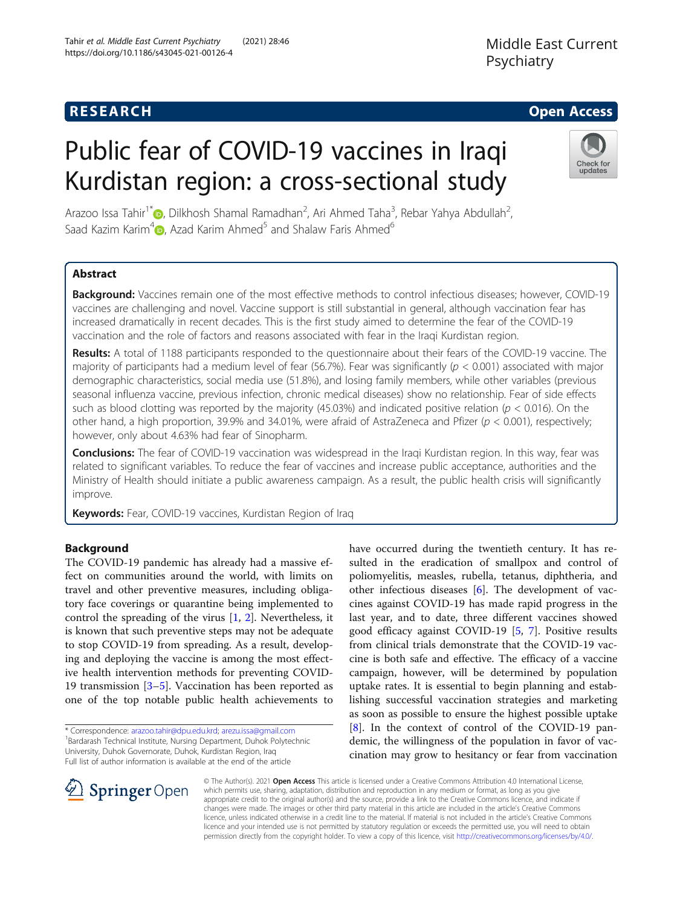# **RESEARCH CHE Open Access**

# Public fear of COVID-19 vaccines in Iraqi Kurdistan region: a cross-sectional study

Arazoo Issa Tahir<sup>1\*</sup> (b, Dilkhosh Shamal Ramadhan<sup>2</sup>, Ari Ahmed Taha<sup>3</sup>, Rebar Yahya Abdullah<sup>2</sup> , Saad Kazim Karim<sup>4</sup> $\bullet$ , Azad Karim Ahmed<sup>5</sup> and Shalaw Faris Ahmed<sup>6</sup>

# Abstract

Background: Vaccines remain one of the most effective methods to control infectious diseases; however, COVID-19 vaccines are challenging and novel. Vaccine support is still substantial in general, although vaccination fear has increased dramatically in recent decades. This is the first study aimed to determine the fear of the COVID-19 vaccination and the role of factors and reasons associated with fear in the Iraqi Kurdistan region.

Results: A total of 1188 participants responded to the questionnaire about their fears of the COVID-19 vaccine. The majority of participants had a medium level of fear (56.7%). Fear was significantly ( $p < 0.001$ ) associated with major demographic characteristics, social media use (51.8%), and losing family members, while other variables (previous seasonal influenza vaccine, previous infection, chronic medical diseases) show no relationship. Fear of side effects such as blood clotting was reported by the majority (45.03%) and indicated positive relation ( $p < 0.016$ ). On the other hand, a high proportion, 39.9% and 34.01%, were afraid of AstraZeneca and Pfizer ( $p < 0.001$ ), respectively; however, only about 4.63% had fear of Sinopharm.

**Conclusions:** The fear of COVID-19 vaccination was widespread in the Iraqi Kurdistan region. In this way, fear was related to significant variables. To reduce the fear of vaccines and increase public acceptance, authorities and the Ministry of Health should initiate a public awareness campaign. As a result, the public health crisis will significantly improve.

Keywords: Fear, COVID-19 vaccines, Kurdistan Region of Iraq

# Background

The COVID-19 pandemic has already had a massive effect on communities around the world, with limits on travel and other preventive measures, including obligatory face coverings or quarantine being implemented to control the spreading of the virus  $[1, 2]$  $[1, 2]$  $[1, 2]$ . Nevertheless, it is known that such preventive steps may not be adequate to stop COVID-19 from spreading. As a result, developing and deploying the vaccine is among the most effective health intervention methods for preventing COVID-19 transmission [\[3](#page-6-0)–[5\]](#page-6-0). Vaccination has been reported as one of the top notable public health achievements to

\* Correspondence: [arazoo.tahir@dpu.edu.krd;](mailto:arazoo.tahir@dpu.edu.krd) [arezu.issa@gmail.com](mailto:arezu.issa@gmail.com) <sup>1</sup> <sup>1</sup>Bardarash Technical Institute, Nursing Department, Duhok Polytechnic University, Duhok Governorate, Duhok, Kurdistan Region, Iraq Full list of author information is available at the end of the article

© The Author(s). 2021 Open Access This article is licensed under a Creative Commons Attribution 4.0 International License, which permits use, sharing, adaptation, distribution and reproduction in any medium or format, as long as you give appropriate credit to the original author(s) and the source, provide a link to the Creative Commons licence, and indicate if changes were made. The images or other third party material in this article are included in the article's Creative Commons licence, unless indicated otherwise in a credit line to the material. If material is not included in the article's Creative Commons licence and your intended use is not permitted by statutory regulation or exceeds the permitted use, you will need to obtain permission directly from the copyright holder. To view a copy of this licence, visit <http://creativecommons.org/licenses/by/4.0/>.

have occurred during the twentieth century. It has resulted in the eradication of smallpox and control of poliomyelitis, measles, rubella, tetanus, diphtheria, and other infectious diseases [[6\]](#page-6-0). The development of vaccines against COVID-19 has made rapid progress in the last year, and to date, three different vaccines showed good efficacy against COVID-19 [[5](#page-6-0), [7](#page-6-0)]. Positive results from clinical trials demonstrate that the COVID-19 vaccine is both safe and effective. The efficacy of a vaccine campaign, however, will be determined by population uptake rates. It is essential to begin planning and establishing successful vaccination strategies and marketing as soon as possible to ensure the highest possible uptake [[8\]](#page-6-0). In the context of control of the COVID-19 pandemic, the willingness of the population in favor of vaccination may grow to hesitancy or fear from vaccination







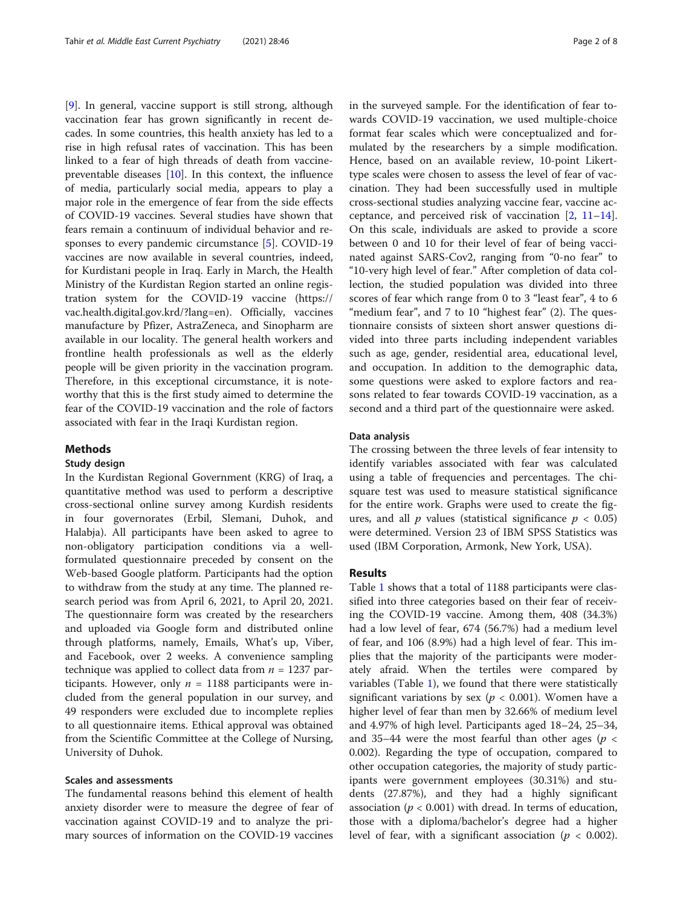[[9\]](#page-6-0). In general, vaccine support is still strong, although vaccination fear has grown significantly in recent decades. In some countries, this health anxiety has led to a rise in high refusal rates of vaccination. This has been linked to a fear of high threads of death from vaccinepreventable diseases [[10\]](#page-6-0). In this context, the influence of media, particularly social media, appears to play a major role in the emergence of fear from the side effects of COVID-19 vaccines. Several studies have shown that fears remain a continuum of individual behavior and responses to every pandemic circumstance [[5\]](#page-6-0). COVID-19 vaccines are now available in several countries, indeed, for Kurdistani people in Iraq. Early in March, the Health Ministry of the Kurdistan Region started an online registration system for the COVID-19 vaccine (https:// vac.health.digital.gov.krd/?lang=en). Officially, vaccines manufacture by Pfizer, AstraZeneca, and Sinopharm are available in our locality. The general health workers and frontline health professionals as well as the elderly people will be given priority in the vaccination program. Therefore, in this exceptional circumstance, it is noteworthy that this is the first study aimed to determine the fear of the COVID-19 vaccination and the role of factors associated with fear in the Iraqi Kurdistan region.

# Methods

# Study design

In the Kurdistan Regional Government (KRG) of Iraq, a quantitative method was used to perform a descriptive cross-sectional online survey among Kurdish residents in four governorates (Erbil, Slemani, Duhok, and Halabja). All participants have been asked to agree to non-obligatory participation conditions via a wellformulated questionnaire preceded by consent on the Web-based Google platform. Participants had the option to withdraw from the study at any time. The planned research period was from April 6, 2021, to April 20, 2021. The questionnaire form was created by the researchers and uploaded via Google form and distributed online through platforms, namely, Emails, What's up, Viber, and Facebook, over 2 weeks. A convenience sampling technique was applied to collect data from  $n = 1237$  participants. However, only  $n = 1188$  participants were included from the general population in our survey, and 49 responders were excluded due to incomplete replies to all questionnaire items. Ethical approval was obtained from the Scientific Committee at the College of Nursing, University of Duhok.

# Scales and assessments

The fundamental reasons behind this element of health anxiety disorder were to measure the degree of fear of vaccination against COVID-19 and to analyze the primary sources of information on the COVID-19 vaccines in the surveyed sample. For the identification of fear towards COVID-19 vaccination, we used multiple-choice format fear scales which were conceptualized and formulated by the researchers by a simple modification. Hence, based on an available review, 10-point Likerttype scales were chosen to assess the level of fear of vaccination. They had been successfully used in multiple cross-sectional studies analyzing vaccine fear, vaccine acceptance, and perceived risk of vaccination [\[2,](#page-6-0) [11](#page-6-0)–[14](#page-6-0)]. On this scale, individuals are asked to provide a score between 0 and 10 for their level of fear of being vaccinated against SARS-Cov2, ranging from "0-no fear" to "10-very high level of fear." After completion of data collection, the studied population was divided into three scores of fear which range from 0 to 3 "least fear", 4 to 6 "medium fear", and 7 to 10 "highest fear" (2). The questionnaire consists of sixteen short answer questions divided into three parts including independent variables such as age, gender, residential area, educational level, and occupation. In addition to the demographic data, some questions were asked to explore factors and reasons related to fear towards COVID-19 vaccination, as a second and a third part of the questionnaire were asked.

## Data analysis

The crossing between the three levels of fear intensity to identify variables associated with fear was calculated using a table of frequencies and percentages. The chisquare test was used to measure statistical significance for the entire work. Graphs were used to create the figures, and all  $p$  values (statistical significance  $p < 0.05$ ) were determined. Version 23 of IBM SPSS Statistics was used (IBM Corporation, Armonk, New York, USA).

# Results

Table [1](#page-2-0) shows that a total of 1188 participants were classified into three categories based on their fear of receiving the COVID-19 vaccine. Among them, 408 (34.3%) had a low level of fear, 674 (56.7%) had a medium level of fear, and 106 (8.9%) had a high level of fear. This implies that the majority of the participants were moderately afraid. When the tertiles were compared by variables (Table  $1$ ), we found that there were statistically significant variations by sex ( $p < 0.001$ ). Women have a higher level of fear than men by 32.66% of medium level and 4.97% of high level. Participants aged 18–24, 25–34, and 35–44 were the most fearful than other ages ( $p <$ 0.002). Regarding the type of occupation, compared to other occupation categories, the majority of study participants were government employees (30.31%) and students (27.87%), and they had a highly significant association ( $p < 0.001$ ) with dread. In terms of education, those with a diploma/bachelor's degree had a higher level of fear, with a significant association ( $p < 0.002$ ).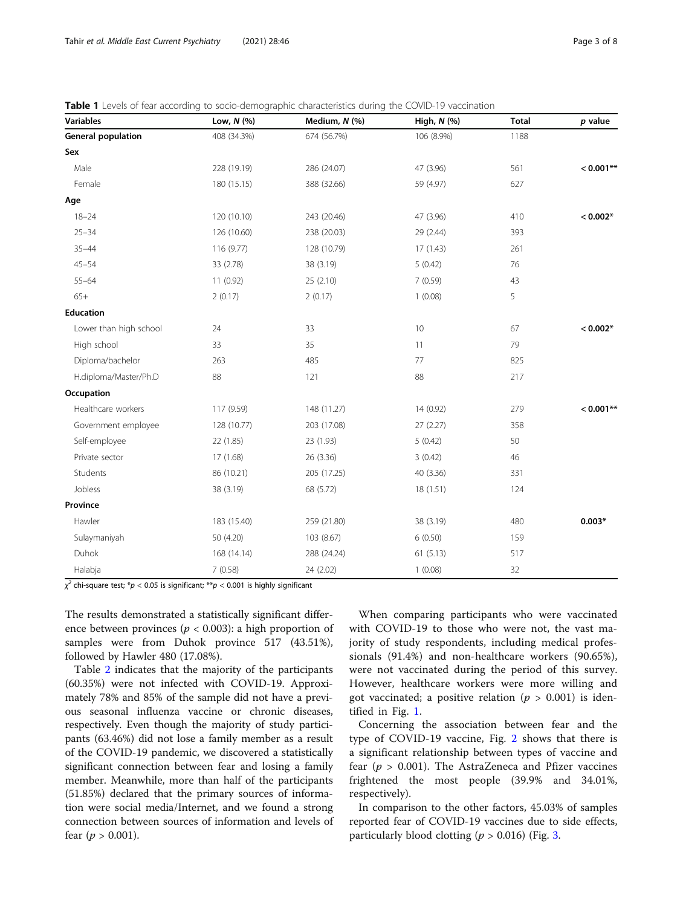<span id="page-2-0"></span>

|  |  |  | <b>Table 1</b> Levels of fear according to socio-demographic characteristics during the COVID-19 vaccination |
|--|--|--|--------------------------------------------------------------------------------------------------------------|
|  |  |  |                                                                                                              |

| <b>Variables</b>          | Low, $N$ $(\%)$ | Medium, N (%) | High, N (%) | <b>Total</b> | $p$ value    |
|---------------------------|-----------------|---------------|-------------|--------------|--------------|
| <b>General population</b> | 408 (34.3%)     | 674 (56.7%)   | 106 (8.9%)  | 1188         |              |
| Sex                       |                 |               |             |              |              |
| Male                      | 228 (19.19)     | 286 (24.07)   | 47 (3.96)   | 561          | $< 0.001$ ** |
| Female                    | 180 (15.15)     | 388 (32.66)   | 59 (4.97)   | 627          |              |
| Age                       |                 |               |             |              |              |
| $18 - 24$                 | 120 (10.10)     | 243 (20.46)   | 47 (3.96)   | 410          | $< 0.002*$   |
| $25 - 34$                 | 126 (10.60)     | 238 (20.03)   | 29 (2.44)   | 393          |              |
| $35 - 44$                 | 116 (9.77)      | 128 (10.79)   | 17(1.43)    | 261          |              |
| $45 - 54$                 | 33 (2.78)       | 38 (3.19)     | 5(0.42)     | 76           |              |
| $55 - 64$                 | 11 (0.92)       | 25 (2.10)     | 7(0.59)     | 43           |              |
| $65+$                     | 2(0.17)         | 2(0.17)       | 1(0.08)     | 5            |              |
| <b>Education</b>          |                 |               |             |              |              |
| Lower than high school    | 24              | 33            | 10          | 67           | $< 0.002*$   |
| High school               | 33              | 35            | 11          | 79           |              |
| Diploma/bachelor          | 263             | 485           | 77          | 825          |              |
| H.diploma/Master/Ph.D     | 88              | 121           | 88          | 217          |              |
| Occupation                |                 |               |             |              |              |
| Healthcare workers        | 117 (9.59)      | 148 (11.27)   | 14 (0.92)   | 279          | $< 0.001**$  |
| Government employee       | 128 (10.77)     | 203 (17.08)   | 27 (2.27)   | 358          |              |
| Self-employee             | 22 (1.85)       | 23 (1.93)     | 5(0.42)     | 50           |              |
| Private sector            | 17 (1.68)       | 26 (3.36)     | 3(0.42)     | 46           |              |
| Students                  | 86 (10.21)      | 205 (17.25)   | 40 (3.36)   | 331          |              |
| Jobless                   | 38 (3.19)       | 68 (5.72)     | 18 (1.51)   | 124          |              |
| Province                  |                 |               |             |              |              |
| Hawler                    | 183 (15.40)     | 259 (21.80)   | 38 (3.19)   | 480          | $0.003*$     |
| Sulaymaniyah              | 50 (4.20)       | 103 (8.67)    | 6(0.50)     | 159          |              |
| Duhok                     | 168 (14.14)     | 288 (24.24)   | 61(5.13)    | 517          |              |
| Halabja                   | 7(0.58)         | 24 (2.02)     | 1(0.08)     | 32           |              |

 $\chi^2$  chi-square test;  $^*p < 0.05$  is significant;  $^{**}p < 0.001$  is highly significant

The results demonstrated a statistically significant difference between provinces ( $p < 0.003$ ): a high proportion of samples were from Duhok province 517 (43.51%), followed by Hawler 480 (17.08%).

Table [2](#page-3-0) indicates that the majority of the participants (60.35%) were not infected with COVID-19. Approximately 78% and 85% of the sample did not have a previous seasonal influenza vaccine or chronic diseases, respectively. Even though the majority of study participants (63.46%) did not lose a family member as a result of the COVID-19 pandemic, we discovered a statistically significant connection between fear and losing a family member. Meanwhile, more than half of the participants (51.85%) declared that the primary sources of information were social media/Internet, and we found a strong connection between sources of information and levels of fear  $(p > 0.001)$ .

When comparing participants who were vaccinated with COVID-19 to those who were not, the vast majority of study respondents, including medical professionals (91.4%) and non-healthcare workers (90.65%), were not vaccinated during the period of this survey. However, healthcare workers were more willing and got vaccinated; a positive relation ( $p > 0.001$ ) is identified in Fig. [1.](#page-3-0)

Concerning the association between fear and the type of COVID-19 vaccine, Fig. [2](#page-4-0) shows that there is a significant relationship between types of vaccine and fear ( $p > 0.001$ ). The AstraZeneca and Pfizer vaccines frightened the most people (39.9% and 34.01%, respectively).

In comparison to the other factors, 45.03% of samples reported fear of COVID-19 vaccines due to side effects, particularly blood clotting ( $p > 0.016$ ) (Fig. [3.](#page-4-0)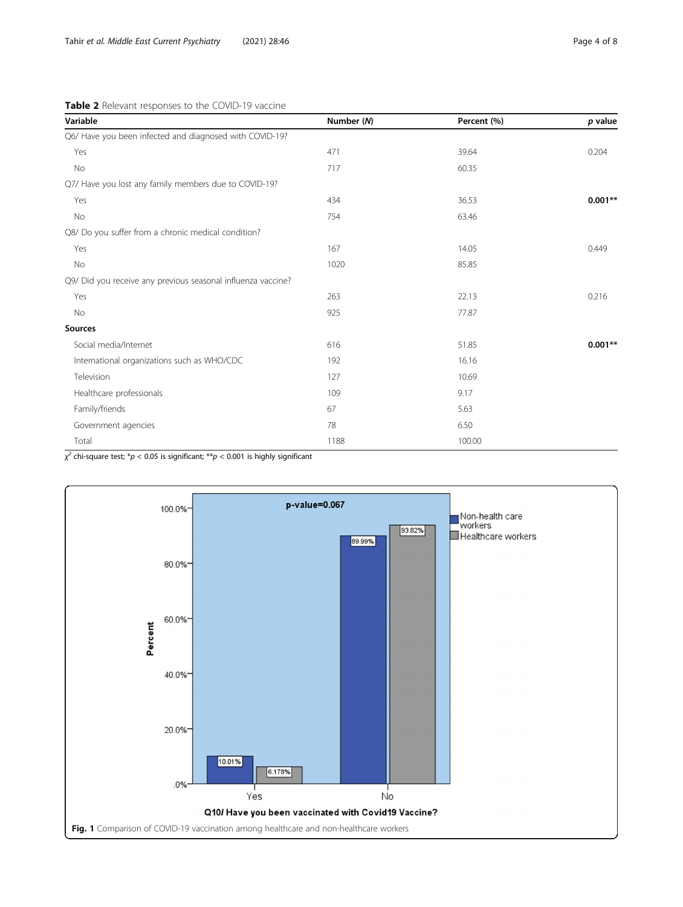<span id="page-3-0"></span>Table 2 Relevant responses to the COVID-19 vaccine

| Variable                                                     | Number (N) | Percent (%) | $p$ value |
|--------------------------------------------------------------|------------|-------------|-----------|
| Q6/ Have you been infected and diagnosed with COVID-19?      |            |             |           |
| Yes                                                          | 471        | 39.64       | 0.204     |
| No                                                           | 717        | 60.35       |           |
| Q7/ Have you lost any family members due to COVID-19?        |            |             |           |
| Yes                                                          | 434        | 36.53       | $0.001**$ |
| No                                                           | 754        | 63.46       |           |
| Q8/ Do you suffer from a chronic medical condition?          |            |             |           |
| Yes                                                          | 167        | 14.05       | 0.449     |
| No                                                           | 1020       | 85.85       |           |
| Q9/ Did you receive any previous seasonal influenza vaccine? |            |             |           |
| Yes                                                          | 263        | 22.13       | 0.216     |
| No                                                           | 925        | 77.87       |           |
| <b>Sources</b>                                               |            |             |           |
| Social media/Internet                                        | 616        | 51.85       | $0.001**$ |
| International organizations such as WHO/CDC                  | 192        | 16.16       |           |
| Television                                                   | 127        | 10.69       |           |
| Healthcare professionals                                     | 109        | 9.17        |           |
| Family/friends                                               | 67         | 5.63        |           |
| Government agencies                                          | 78         | 6.50        |           |
| Total                                                        | 1188       | 100.00      |           |

 $\chi^2$  chi-square test;  $^*p < 0.05$  is significant;  $^{**}p < 0.001$  is highly significant

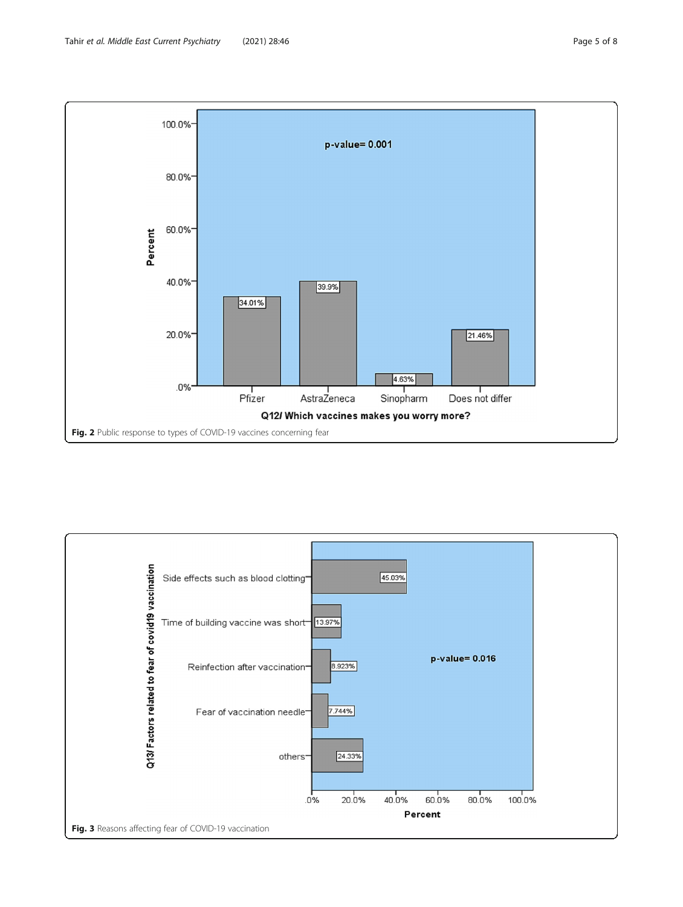<span id="page-4-0"></span>

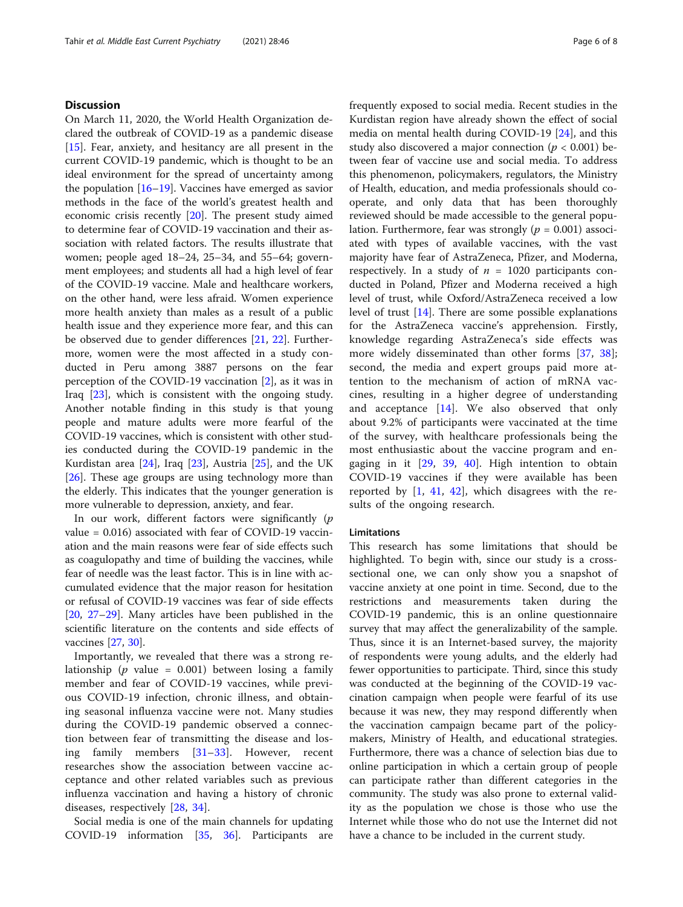# **Discussion**

On March 11, 2020, the World Health Organization declared the outbreak of COVID-19 as a pandemic disease [[15\]](#page-6-0). Fear, anxiety, and hesitancy are all present in the current COVID-19 pandemic, which is thought to be an ideal environment for the spread of uncertainty among the population [[16](#page-6-0)–[19](#page-6-0)]. Vaccines have emerged as savior methods in the face of the world's greatest health and economic crisis recently [\[20](#page-7-0)]. The present study aimed to determine fear of COVID-19 vaccination and their association with related factors. The results illustrate that women; people aged 18–24, 25–34, and 55–64; government employees; and students all had a high level of fear of the COVID-19 vaccine. Male and healthcare workers, on the other hand, were less afraid. Women experience more health anxiety than males as a result of a public health issue and they experience more fear, and this can be observed due to gender differences [\[21,](#page-7-0) [22](#page-7-0)]. Furthermore, women were the most affected in a study conducted in Peru among 3887 persons on the fear perception of the COVID-19 vaccination [\[2\]](#page-6-0), as it was in Iraq [\[23](#page-7-0)], which is consistent with the ongoing study. Another notable finding in this study is that young people and mature adults were more fearful of the COVID-19 vaccines, which is consistent with other studies conducted during the COVID-19 pandemic in the Kurdistan area [\[24](#page-7-0)], Iraq [[23\]](#page-7-0), Austria [\[25](#page-7-0)], and the UK [[26\]](#page-7-0). These age groups are using technology more than the elderly. This indicates that the younger generation is more vulnerable to depression, anxiety, and fear.

In our work, different factors were significantly  $(p)$ value = 0.016) associated with fear of COVID-19 vaccination and the main reasons were fear of side effects such as coagulopathy and time of building the vaccines, while fear of needle was the least factor. This is in line with accumulated evidence that the major reason for hesitation or refusal of COVID-19 vaccines was fear of side effects [[20,](#page-7-0) [27](#page-7-0)–[29](#page-7-0)]. Many articles have been published in the scientific literature on the contents and side effects of vaccines [[27](#page-7-0), [30](#page-7-0)].

Importantly, we revealed that there was a strong relationship ( $p$  value = 0.001) between losing a family member and fear of COVID-19 vaccines, while previous COVID-19 infection, chronic illness, and obtaining seasonal influenza vaccine were not. Many studies during the COVID-19 pandemic observed a connection between fear of transmitting the disease and losing family members [[31](#page-7-0)–[33\]](#page-7-0). However, recent researches show the association between vaccine acceptance and other related variables such as previous influenza vaccination and having a history of chronic diseases, respectively [[28,](#page-7-0) [34\]](#page-7-0).

Social media is one of the main channels for updating COVID-19 information [\[35,](#page-7-0) [36\]](#page-7-0). Participants are frequently exposed to social media. Recent studies in the Kurdistan region have already shown the effect of social media on mental health during COVID-19 [\[24](#page-7-0)], and this study also discovered a major connection ( $p < 0.001$ ) between fear of vaccine use and social media. To address this phenomenon, policymakers, regulators, the Ministry of Health, education, and media professionals should cooperate, and only data that has been thoroughly reviewed should be made accessible to the general population. Furthermore, fear was strongly ( $p = 0.001$ ) associated with types of available vaccines, with the vast majority have fear of AstraZeneca, Pfizer, and Moderna, respectively. In a study of  $n = 1020$  participants conducted in Poland, Pfizer and Moderna received a high level of trust, while Oxford/AstraZeneca received a low level of trust [[14\]](#page-6-0). There are some possible explanations for the AstraZeneca vaccine's apprehension. Firstly, knowledge regarding AstraZeneca's side effects was more widely disseminated than other forms [[37,](#page-7-0) [38](#page-7-0)]; second, the media and expert groups paid more attention to the mechanism of action of mRNA vaccines, resulting in a higher degree of understanding and acceptance [[14\]](#page-6-0). We also observed that only about 9.2% of participants were vaccinated at the time of the survey, with healthcare professionals being the most enthusiastic about the vaccine program and engaging in it [[29,](#page-7-0) [39](#page-7-0), [40\]](#page-7-0). High intention to obtain COVID-19 vaccines if they were available has been reported by  $[1, 41, 42]$  $[1, 41, 42]$  $[1, 41, 42]$  $[1, 41, 42]$  $[1, 41, 42]$ , which disagrees with the results of the ongoing research.

## **Limitations**

This research has some limitations that should be highlighted. To begin with, since our study is a crosssectional one, we can only show you a snapshot of vaccine anxiety at one point in time. Second, due to the restrictions and measurements taken during the COVID-19 pandemic, this is an online questionnaire survey that may affect the generalizability of the sample. Thus, since it is an Internet-based survey, the majority of respondents were young adults, and the elderly had fewer opportunities to participate. Third, since this study was conducted at the beginning of the COVID-19 vaccination campaign when people were fearful of its use because it was new, they may respond differently when the vaccination campaign became part of the policymakers, Ministry of Health, and educational strategies. Furthermore, there was a chance of selection bias due to online participation in which a certain group of people can participate rather than different categories in the community. The study was also prone to external validity as the population we chose is those who use the Internet while those who do not use the Internet did not have a chance to be included in the current study.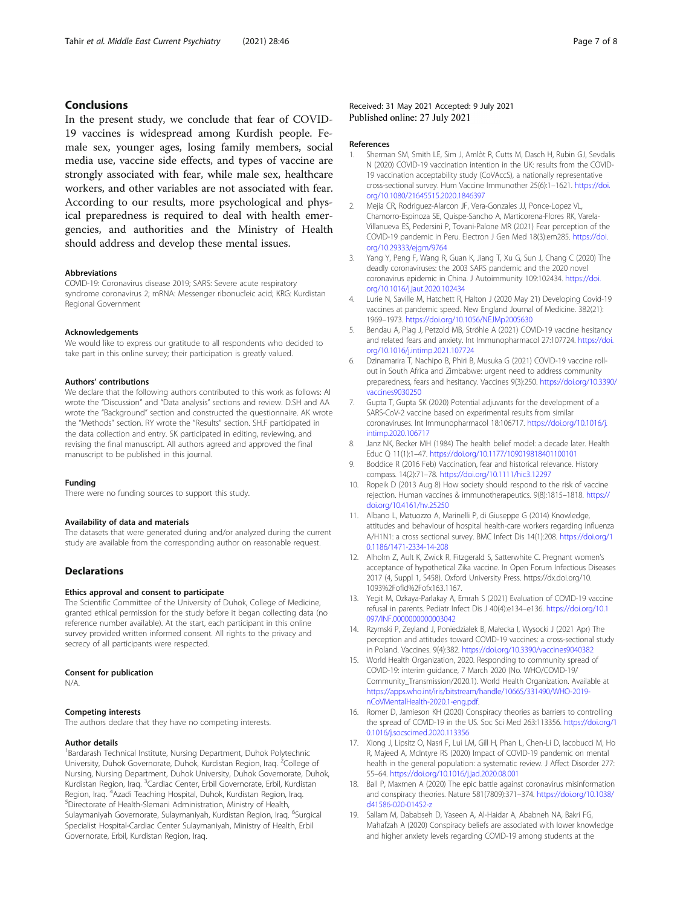# <span id="page-6-0"></span>Conclusions

In the present study, we conclude that fear of COVID-19 vaccines is widespread among Kurdish people. Female sex, younger ages, losing family members, social media use, vaccine side effects, and types of vaccine are strongly associated with fear, while male sex, healthcare workers, and other variables are not associated with fear. According to our results, more psychological and physical preparedness is required to deal with health emergencies, and authorities and the Ministry of Health should address and develop these mental issues.

# Abbreviations

COVID-19: Coronavirus disease 2019; SARS: Severe acute respiratory syndrome coronavirus 2; mRNA: Messenger ribonucleic acid; KRG: Kurdistan Regional Government

#### Acknowledgements

We would like to express our gratitude to all respondents who decided to take part in this online survey; their participation is greatly valued.

#### Authors' contributions

We declare that the following authors contributed to this work as follows: AI wrote the "Discussion" and "Data analysis" sections and review. D.SH and AA wrote the "Background" section and constructed the questionnaire. AK wrote the "Methods" section. RY wrote the "Results" section. SH.F participated in the data collection and entry. SK participated in editing, reviewing, and revising the final manuscript. All authors agreed and approved the final manuscript to be published in this journal.

#### Funding

There were no funding sources to support this study.

#### Availability of data and materials

The datasets that were generated during and/or analyzed during the current study are available from the corresponding author on reasonable request.

#### **Declarations**

# Ethics approval and consent to participate

The Scientific Committee of the University of Duhok, College of Medicine, granted ethical permission for the study before it began collecting data (no reference number available). At the start, each participant in this online survey provided written informed consent. All rights to the privacy and secrecy of all participants were respected.

#### Consent for publication

N/A.

#### Competing interests

The authors declare that they have no competing interests.

#### Author details

<sup>1</sup>Bardarash Technical Institute, Nursing Department, Duhok Polytechnic University, Duhok Governorate, Duhok, Kurdistan Region, Iraq. <sup>2</sup>College of Nursing, Nursing Department, Duhok University, Duhok Governorate, Duhok, Kurdistan Region, Iraq. <sup>3</sup>Cardiac Center, Erbil Governorate, Erbil, Kurdistan Region, Iraq. <sup>4</sup>Azadi Teaching Hospital, Duhok, Kurdistan Region, Iraq.<br><sup>5</sup>Directerate of Hoalth Slamani Administration, Ministry of Hoalth Directorate of Health-Slemani Administration, Ministry of Health, Sulaymaniyah Governorate, Sulaymaniyah, Kurdistan Region, Iraq. <sup>6</sup>Surgical Specialist Hospital-Cardiac Center Sulaymaniyah, Ministry of Health, Erbil Governorate, Erbil, Kurdistan Region, Iraq.

#### References

- 1. Sherman SM, Smith LE, Sim J, Amlôt R, Cutts M, Dasch H, Rubin GJ, Sevdalis N (2020) COVID-19 vaccination intention in the UK: results from the COVID-19 vaccination acceptability study (CoVAccS), a nationally representative cross-sectional survey. Hum Vaccine Immunother 25(6):1–1621. [https://doi.](https://doi.org/10.1080/21645515.2020.1846397) [org/10.1080/21645515.2020.1846397](https://doi.org/10.1080/21645515.2020.1846397)
- 2. Mejia CR, Rodriguez-Alarcon JF, Vera-Gonzales JJ, Ponce-Lopez VL, Chamorro-Espinoza SE, Quispe-Sancho A, Marticorena-Flores RK, Varela-Villanueva ES, Pedersini P, Tovani-Palone MR (2021) Fear perception of the COVID-19 pandemic in Peru. Electron J Gen Med 18(3):em285. [https://doi.](https://doi.org/10.29333/ejgm/9764) [org/10.29333/ejgm/9764](https://doi.org/10.29333/ejgm/9764)
- 3. Yang Y, Peng F, Wang R, Guan K, Jiang T, Xu G, Sun J, Chang C (2020) The deadly coronaviruses: the 2003 SARS pandemic and the 2020 novel coronavirus epidemic in China. J Autoimmunity 109:102434. [https://doi.](https://doi.org/10.1016/j.jaut.2020.102434) [org/10.1016/j.jaut.2020.102434](https://doi.org/10.1016/j.jaut.2020.102434)
- 4. Lurie N, Saville M, Hatchett R, Halton J (2020 May 21) Developing Covid-19 vaccines at pandemic speed. New England Journal of Medicine. 382(21): 1969–1973. <https://doi.org/10.1056/NEJMp2005630>
- 5. Bendau A, Plag J, Petzold MB, Ströhle A (2021) COVID-19 vaccine hesitancy and related fears and anxiety. Int Immunopharmacol 27:107724. [https://doi.](https://doi.org/10.1016/j.intimp.2021.107724) [org/10.1016/j.intimp.2021.107724](https://doi.org/10.1016/j.intimp.2021.107724)
- 6. Dzinamarira T, Nachipo B, Phiri B, Musuka G (2021) COVID-19 vaccine rollout in South Africa and Zimbabwe: urgent need to address community preparedness, fears and hesitancy. Vaccines 9(3):250. [https://doi.org/10.3390/](https://doi.org/10.3390/vaccines9030250) [vaccines9030250](https://doi.org/10.3390/vaccines9030250)
- 7. Gupta T, Gupta SK (2020) Potential adjuvants for the development of a SARS-CoV-2 vaccine based on experimental results from similar coronaviruses. Int Immunopharmacol 18:106717. [https://doi.org/10.1016/j.](https://doi.org/10.1016/j.intimp.2020.106717) [intimp.2020.106717](https://doi.org/10.1016/j.intimp.2020.106717)
- 8. Janz NK, Becker MH (1984) The health belief model: a decade later. Health Educ Q 11(1):1–47. <https://doi.org/10.1177/109019818401100101>
- 9. Boddice R (2016 Feb) Vaccination, fear and historical relevance. History compass. 14(2):71–78. <https://doi.org/10.1111/hic3.12297>
- 10. Ropeik D (2013 Aug 8) How society should respond to the risk of vaccine rejection. Human vaccines & immunotherapeutics. 9(8):1815–1818. [https://](https://doi.org/10.4161/hv.25250) [doi.org/10.4161/hv.25250](https://doi.org/10.4161/hv.25250)
- 11. Albano L, Matuozzo A, Marinelli P, di Giuseppe G (2014) Knowledge, attitudes and behaviour of hospital health-care workers regarding influenza A/H1N1: a cross sectional survey. BMC Infect Dis 14(1):208. [https://doi.org/1](https://doi.org/10.1186/1471-2334-14-208) [0.1186/1471-2334-14-208](https://doi.org/10.1186/1471-2334-14-208)
- 12. Alholm Z, Ault K, Zwick R, Fitzgerald S, Satterwhite C. Pregnant women's acceptance of hypothetical Zika vaccine. In Open Forum Infectious Diseases 2017 (4, Suppl 1, S458). Oxford University Press. https://dx.doi.org/10. 1093%2Fofid%2Fofx163.1167.
- 13. Yegit M, Ozkaya-Parlakay A, Emrah S (2021) Evaluation of COVID-19 vaccine refusal in parents. Pediatr Infect Dis J 40(4):e134–e136. [https://doi.org/10.1](https://doi.org/10.1097/INF.0000000000003042) [097/INF.0000000000003042](https://doi.org/10.1097/INF.0000000000003042)
- 14. Rzymski P, Zeyland J, Poniedziałek B, Małecka I, Wysocki J (2021 Apr) The perception and attitudes toward COVID-19 vaccines: a cross-sectional study in Poland. Vaccines. 9(4):382. <https://doi.org/10.3390/vaccines9040382>
- 15. World Health Organization, 2020. Responding to community spread of COVID-19: interim guidance, 7 March 2020 (No. WHO/COVID-19/ Community\_Transmission/2020.1). World Health Organization. Available at [https://apps.who.int/iris/bitstream/handle/10665/331490/WHO-2019](https://apps.who.int/iris/bitstream/handle/10665/331490/WHO-2019-nCoVMentalHealth-2020.1-eng.pdf) [nCoVMentalHealth-2020.1-eng.pdf](https://apps.who.int/iris/bitstream/handle/10665/331490/WHO-2019-nCoVMentalHealth-2020.1-eng.pdf).
- 16. Romer D, Jamieson KH (2020) Conspiracy theories as barriers to controlling the spread of COVID-19 in the US. Soc Sci Med 263:113356. [https://doi.org/1](https://doi.org/10.1016/j.socscimed.2020.113356) [0.1016/j.socscimed.2020.113356](https://doi.org/10.1016/j.socscimed.2020.113356)
- 17. Xiong J, Lipsitz O, Nasri F, Lui LM, Gill H, Phan L, Chen-Li D, Iacobucci M, Ho R, Majeed A, McIntyre RS (2020) Impact of COVID-19 pandemic on mental health in the general population: a systematic review. J Affect Disorder 277: 55–64. <https://doi.org/10.1016/j.jad.2020.08.001>
- 18. Ball P, Maxmen A (2020) The epic battle against coronavirus misinformation and conspiracy theories. Nature 581(7809):371–374. [https://doi.org/10.1038/](https://doi.org/10.1038/d41586-020-01452-z) [d41586-020-01452-z](https://doi.org/10.1038/d41586-020-01452-z)
- 19. Sallam M, Dababseh D, Yaseen A, Al-Haidar A, Ababneh NA, Bakri FG, Mahafzah A (2020) Conspiracy beliefs are associated with lower knowledge and higher anxiety levels regarding COVID-19 among students at the